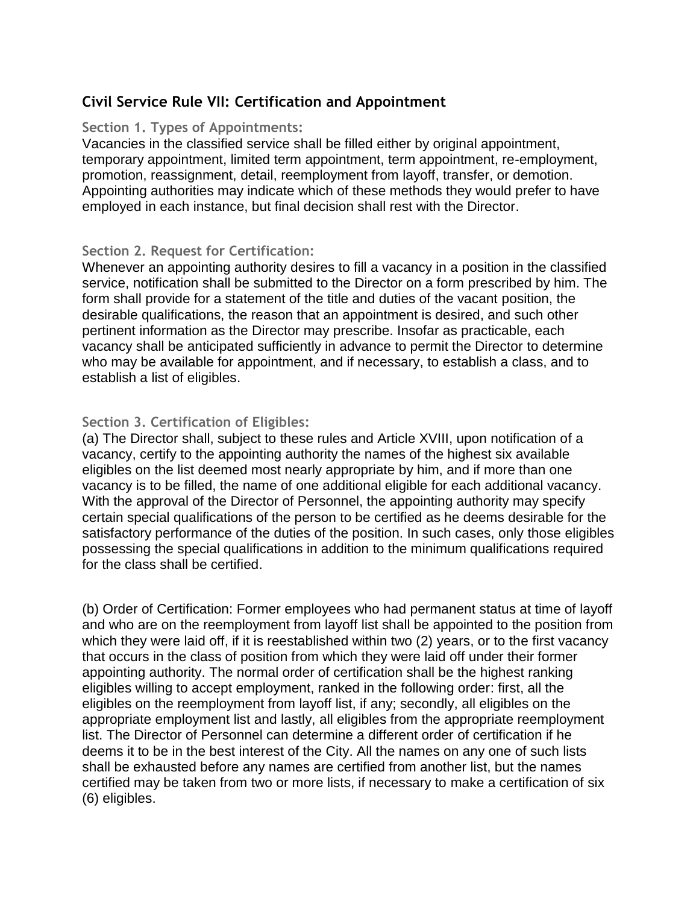# **Civil Service Rule VII: Certification and Appointment**

#### **Section 1. Types of Appointments:**

Vacancies in the classified service shall be filled either by original appointment, temporary appointment, limited term appointment, term appointment, re-employment, promotion, reassignment, detail, reemployment from layoff, transfer, or demotion. Appointing authorities may indicate which of these methods they would prefer to have employed in each instance, but final decision shall rest with the Director.

#### **Section 2. Request for Certification:**

Whenever an appointing authority desires to fill a vacancy in a position in the classified service, notification shall be submitted to the Director on a form prescribed by him. The form shall provide for a statement of the title and duties of the vacant position, the desirable qualifications, the reason that an appointment is desired, and such other pertinent information as the Director may prescribe. Insofar as practicable, each vacancy shall be anticipated sufficiently in advance to permit the Director to determine who may be available for appointment, and if necessary, to establish a class, and to establish a list of eligibles.

### **Section 3. Certification of Eligibles:**

(a) The Director shall, subject to these rules and Article XVIII, upon notification of a vacancy, certify to the appointing authority the names of the highest six available eligibles on the list deemed most nearly appropriate by him, and if more than one vacancy is to be filled, the name of one additional eligible for each additional vacancy. With the approval of the Director of Personnel, the appointing authority may specify certain special qualifications of the person to be certified as he deems desirable for the satisfactory performance of the duties of the position. In such cases, only those eligibles possessing the special qualifications in addition to the minimum qualifications required for the class shall be certified.

(b) Order of Certification: Former employees who had permanent status at time of layoff and who are on the reemployment from layoff list shall be appointed to the position from which they were laid off, if it is reestablished within two (2) years, or to the first vacancy that occurs in the class of position from which they were laid off under their former appointing authority. The normal order of certification shall be the highest ranking eligibles willing to accept employment, ranked in the following order: first, all the eligibles on the reemployment from layoff list, if any; secondly, all eligibles on the appropriate employment list and lastly, all eligibles from the appropriate reemployment list. The Director of Personnel can determine a different order of certification if he deems it to be in the best interest of the City. All the names on any one of such lists shall be exhausted before any names are certified from another list, but the names certified may be taken from two or more lists, if necessary to make a certification of six (6) eligibles.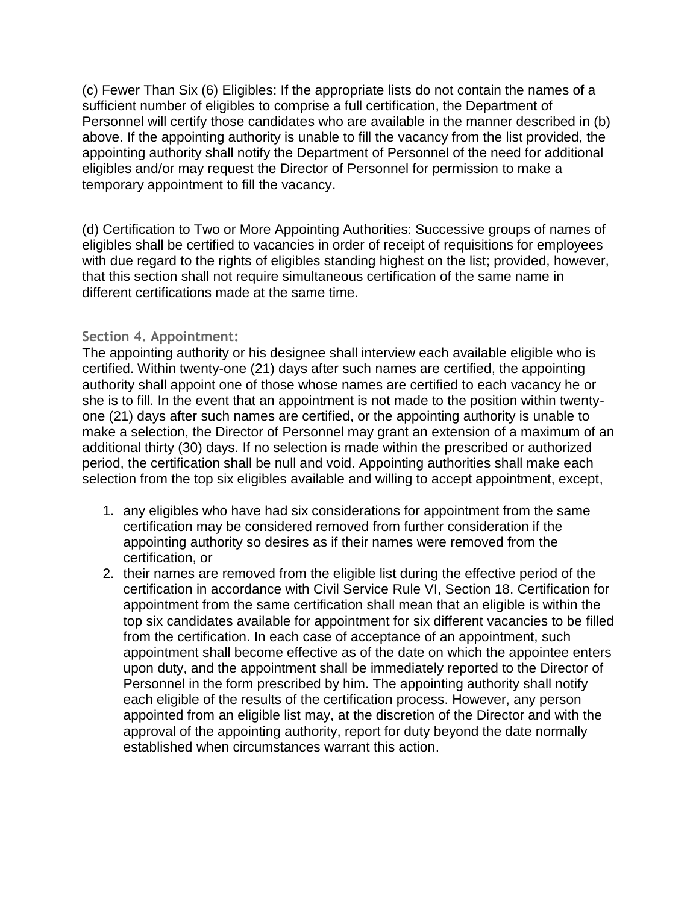(c) Fewer Than Six (6) Eligibles: If the appropriate lists do not contain the names of a sufficient number of eligibles to comprise a full certification, the Department of Personnel will certify those candidates who are available in the manner described in (b) above. If the appointing authority is unable to fill the vacancy from the list provided, the appointing authority shall notify the Department of Personnel of the need for additional eligibles and/or may request the Director of Personnel for permission to make a temporary appointment to fill the vacancy.

(d) Certification to Two or More Appointing Authorities: Successive groups of names of eligibles shall be certified to vacancies in order of receipt of requisitions for employees with due regard to the rights of eligibles standing highest on the list; provided, however, that this section shall not require simultaneous certification of the same name in different certifications made at the same time.

#### **Section 4. Appointment:**

The appointing authority or his designee shall interview each available eligible who is certified. Within twenty-one (21) days after such names are certified, the appointing authority shall appoint one of those whose names are certified to each vacancy he or she is to fill. In the event that an appointment is not made to the position within twentyone (21) days after such names are certified, or the appointing authority is unable to make a selection, the Director of Personnel may grant an extension of a maximum of an additional thirty (30) days. If no selection is made within the prescribed or authorized period, the certification shall be null and void. Appointing authorities shall make each selection from the top six eligibles available and willing to accept appointment, except,

- 1. any eligibles who have had six considerations for appointment from the same certification may be considered removed from further consideration if the appointing authority so desires as if their names were removed from the certification, or
- 2. their names are removed from the eligible list during the effective period of the certification in accordance with Civil Service Rule VI, Section 18. Certification for appointment from the same certification shall mean that an eligible is within the top six candidates available for appointment for six different vacancies to be filled from the certification. In each case of acceptance of an appointment, such appointment shall become effective as of the date on which the appointee enters upon duty, and the appointment shall be immediately reported to the Director of Personnel in the form prescribed by him. The appointing authority shall notify each eligible of the results of the certification process. However, any person appointed from an eligible list may, at the discretion of the Director and with the approval of the appointing authority, report for duty beyond the date normally established when circumstances warrant this action.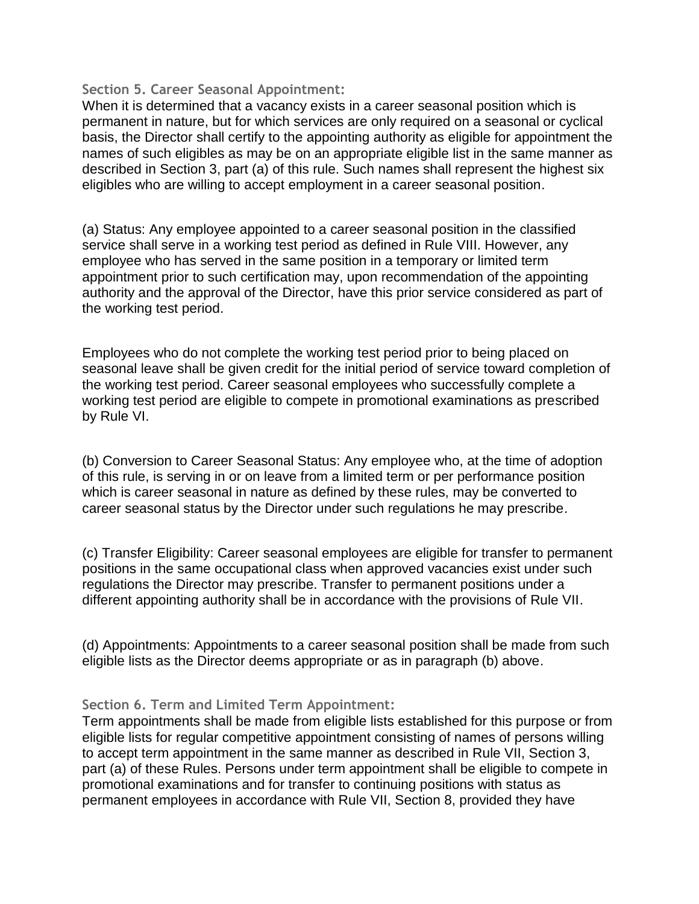#### **Section 5. Career Seasonal Appointment:**

When it is determined that a vacancy exists in a career seasonal position which is permanent in nature, but for which services are only required on a seasonal or cyclical basis, the Director shall certify to the appointing authority as eligible for appointment the names of such eligibles as may be on an appropriate eligible list in the same manner as described in Section 3, part (a) of this rule. Such names shall represent the highest six eligibles who are willing to accept employment in a career seasonal position.

(a) Status: Any employee appointed to a career seasonal position in the classified service shall serve in a working test period as defined in Rule VIII. However, any employee who has served in the same position in a temporary or limited term appointment prior to such certification may, upon recommendation of the appointing authority and the approval of the Director, have this prior service considered as part of the working test period.

Employees who do not complete the working test period prior to being placed on seasonal leave shall be given credit for the initial period of service toward completion of the working test period. Career seasonal employees who successfully complete a working test period are eligible to compete in promotional examinations as prescribed by Rule VI.

(b) Conversion to Career Seasonal Status: Any employee who, at the time of adoption of this rule, is serving in or on leave from a limited term or per performance position which is career seasonal in nature as defined by these rules, may be converted to career seasonal status by the Director under such regulations he may prescribe.

(c) Transfer Eligibility: Career seasonal employees are eligible for transfer to permanent positions in the same occupational class when approved vacancies exist under such regulations the Director may prescribe. Transfer to permanent positions under a different appointing authority shall be in accordance with the provisions of Rule VII.

(d) Appointments: Appointments to a career seasonal position shall be made from such eligible lists as the Director deems appropriate or as in paragraph (b) above.

### **Section 6. Term and Limited Term Appointment:**

Term appointments shall be made from eligible lists established for this purpose or from eligible lists for regular competitive appointment consisting of names of persons willing to accept term appointment in the same manner as described in Rule VII, Section 3, part (a) of these Rules. Persons under term appointment shall be eligible to compete in promotional examinations and for transfer to continuing positions with status as permanent employees in accordance with Rule VII, Section 8, provided they have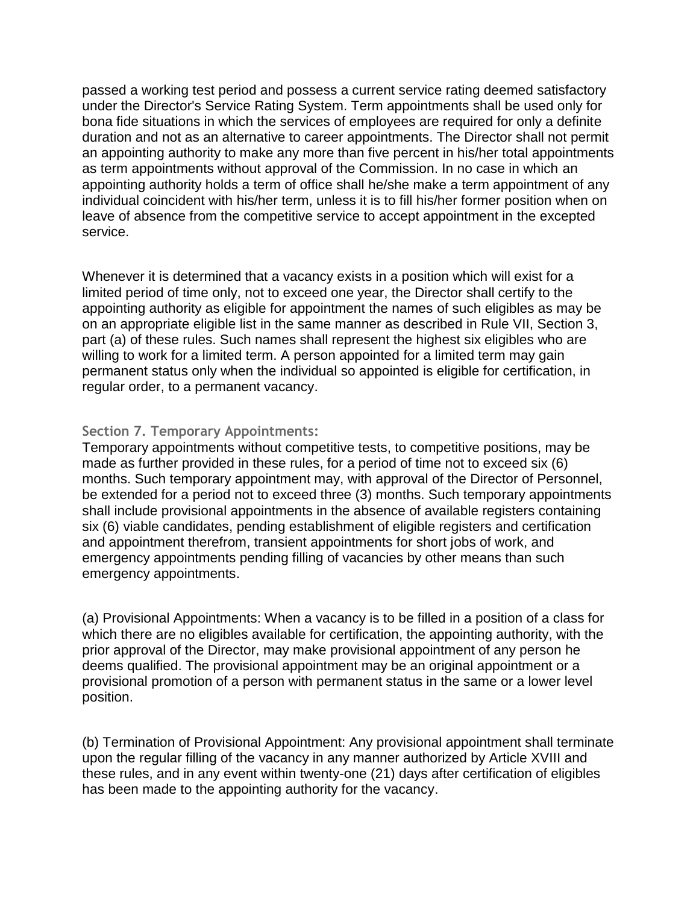passed a working test period and possess a current service rating deemed satisfactory under the Director's Service Rating System. Term appointments shall be used only for bona fide situations in which the services of employees are required for only a definite duration and not as an alternative to career appointments. The Director shall not permit an appointing authority to make any more than five percent in his/her total appointments as term appointments without approval of the Commission. In no case in which an appointing authority holds a term of office shall he/she make a term appointment of any individual coincident with his/her term, unless it is to fill his/her former position when on leave of absence from the competitive service to accept appointment in the excepted service.

Whenever it is determined that a vacancy exists in a position which will exist for a limited period of time only, not to exceed one year, the Director shall certify to the appointing authority as eligible for appointment the names of such eligibles as may be on an appropriate eligible list in the same manner as described in Rule VII, Section 3, part (a) of these rules. Such names shall represent the highest six eligibles who are willing to work for a limited term. A person appointed for a limited term may gain permanent status only when the individual so appointed is eligible for certification, in regular order, to a permanent vacancy.

### **Section 7. Temporary Appointments:**

Temporary appointments without competitive tests, to competitive positions, may be made as further provided in these rules, for a period of time not to exceed six (6) months. Such temporary appointment may, with approval of the Director of Personnel, be extended for a period not to exceed three (3) months. Such temporary appointments shall include provisional appointments in the absence of available registers containing six (6) viable candidates, pending establishment of eligible registers and certification and appointment therefrom, transient appointments for short jobs of work, and emergency appointments pending filling of vacancies by other means than such emergency appointments.

(a) Provisional Appointments: When a vacancy is to be filled in a position of a class for which there are no eligibles available for certification, the appointing authority, with the prior approval of the Director, may make provisional appointment of any person he deems qualified. The provisional appointment may be an original appointment or a provisional promotion of a person with permanent status in the same or a lower level position.

(b) Termination of Provisional Appointment: Any provisional appointment shall terminate upon the regular filling of the vacancy in any manner authorized by Article XVIII and these rules, and in any event within twenty-one (21) days after certification of eligibles has been made to the appointing authority for the vacancy.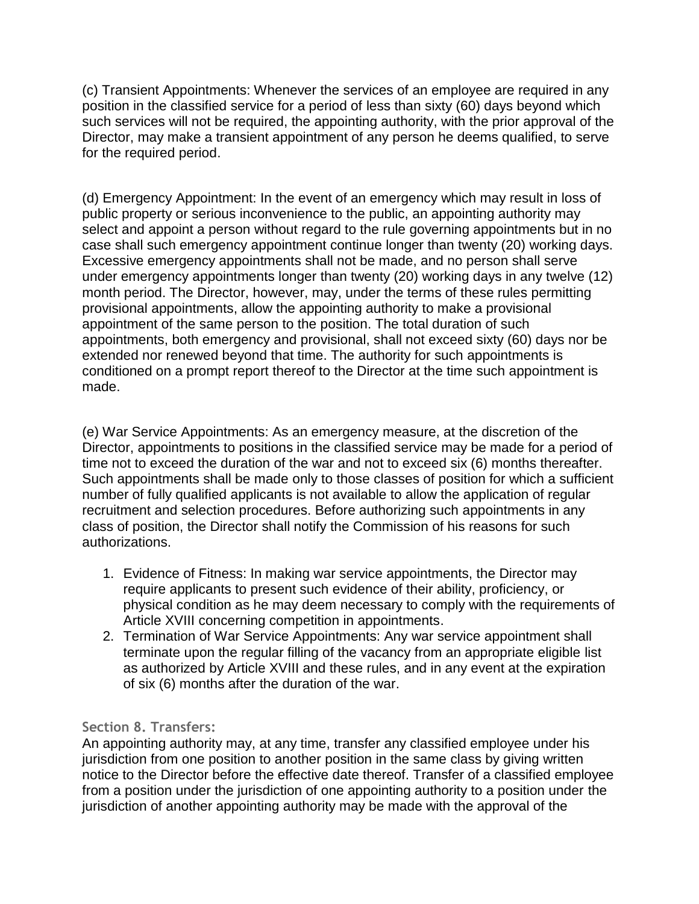(c) Transient Appointments: Whenever the services of an employee are required in any position in the classified service for a period of less than sixty (60) days beyond which such services will not be required, the appointing authority, with the prior approval of the Director, may make a transient appointment of any person he deems qualified, to serve for the required period.

(d) Emergency Appointment: In the event of an emergency which may result in loss of public property or serious inconvenience to the public, an appointing authority may select and appoint a person without regard to the rule governing appointments but in no case shall such emergency appointment continue longer than twenty (20) working days. Excessive emergency appointments shall not be made, and no person shall serve under emergency appointments longer than twenty (20) working days in any twelve (12) month period. The Director, however, may, under the terms of these rules permitting provisional appointments, allow the appointing authority to make a provisional appointment of the same person to the position. The total duration of such appointments, both emergency and provisional, shall not exceed sixty (60) days nor be extended nor renewed beyond that time. The authority for such appointments is conditioned on a prompt report thereof to the Director at the time such appointment is made.

(e) War Service Appointments: As an emergency measure, at the discretion of the Director, appointments to positions in the classified service may be made for a period of time not to exceed the duration of the war and not to exceed six (6) months thereafter. Such appointments shall be made only to those classes of position for which a sufficient number of fully qualified applicants is not available to allow the application of regular recruitment and selection procedures. Before authorizing such appointments in any class of position, the Director shall notify the Commission of his reasons for such authorizations.

- 1. Evidence of Fitness: In making war service appointments, the Director may require applicants to present such evidence of their ability, proficiency, or physical condition as he may deem necessary to comply with the requirements of Article XVIII concerning competition in appointments.
- 2. Termination of War Service Appointments: Any war service appointment shall terminate upon the regular filling of the vacancy from an appropriate eligible list as authorized by Article XVIII and these rules, and in any event at the expiration of six (6) months after the duration of the war.

## **Section 8. Transfers:**

An appointing authority may, at any time, transfer any classified employee under his jurisdiction from one position to another position in the same class by giving written notice to the Director before the effective date thereof. Transfer of a classified employee from a position under the jurisdiction of one appointing authority to a position under the jurisdiction of another appointing authority may be made with the approval of the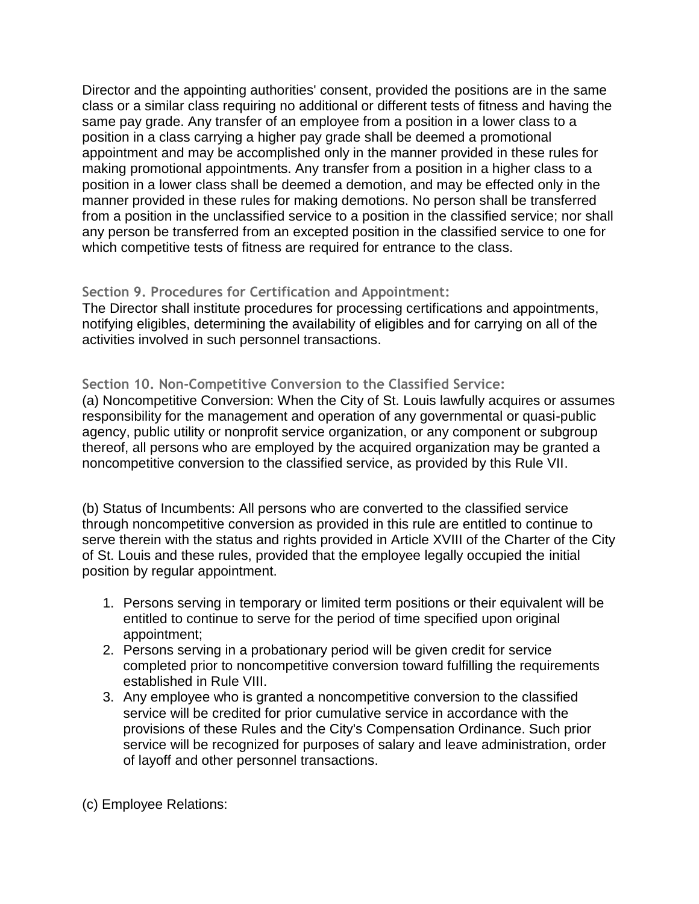Director and the appointing authorities' consent, provided the positions are in the same class or a similar class requiring no additional or different tests of fitness and having the same pay grade. Any transfer of an employee from a position in a lower class to a position in a class carrying a higher pay grade shall be deemed a promotional appointment and may be accomplished only in the manner provided in these rules for making promotional appointments. Any transfer from a position in a higher class to a position in a lower class shall be deemed a demotion, and may be effected only in the manner provided in these rules for making demotions. No person shall be transferred from a position in the unclassified service to a position in the classified service; nor shall any person be transferred from an excepted position in the classified service to one for which competitive tests of fitness are required for entrance to the class.

### **Section 9. Procedures for Certification and Appointment:**

The Director shall institute procedures for processing certifications and appointments, notifying eligibles, determining the availability of eligibles and for carrying on all of the activities involved in such personnel transactions.

### **Section 10. Non-Competitive Conversion to the Classified Service:**

(a) Noncompetitive Conversion: When the City of St. Louis lawfully acquires or assumes responsibility for the management and operation of any governmental or quasi-public agency, public utility or nonprofit service organization, or any component or subgroup thereof, all persons who are employed by the acquired organization may be granted a noncompetitive conversion to the classified service, as provided by this Rule VII.

(b) Status of Incumbents: All persons who are converted to the classified service through noncompetitive conversion as provided in this rule are entitled to continue to serve therein with the status and rights provided in Article XVIII of the Charter of the City of St. Louis and these rules, provided that the employee legally occupied the initial position by regular appointment.

- 1. Persons serving in temporary or limited term positions or their equivalent will be entitled to continue to serve for the period of time specified upon original appointment;
- 2. Persons serving in a probationary period will be given credit for service completed prior to noncompetitive conversion toward fulfilling the requirements established in Rule VIII.
- 3. Any employee who is granted a noncompetitive conversion to the classified service will be credited for prior cumulative service in accordance with the provisions of these Rules and the City's Compensation Ordinance. Such prior service will be recognized for purposes of salary and leave administration, order of layoff and other personnel transactions.

(c) Employee Relations: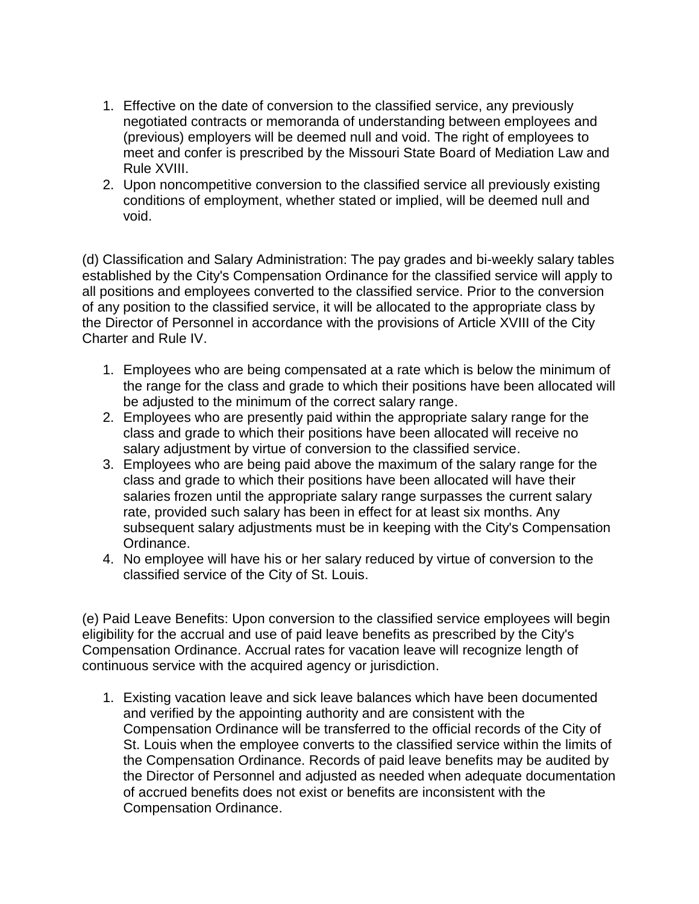- 1. Effective on the date of conversion to the classified service, any previously negotiated contracts or memoranda of understanding between employees and (previous) employers will be deemed null and void. The right of employees to meet and confer is prescribed by the Missouri State Board of Mediation Law and Rule XVIII.
- 2. Upon noncompetitive conversion to the classified service all previously existing conditions of employment, whether stated or implied, will be deemed null and void.

(d) Classification and Salary Administration: The pay grades and bi-weekly salary tables established by the City's Compensation Ordinance for the classified service will apply to all positions and employees converted to the classified service. Prior to the conversion of any position to the classified service, it will be allocated to the appropriate class by the Director of Personnel in accordance with the provisions of Article XVIII of the City Charter and Rule IV.

- 1. Employees who are being compensated at a rate which is below the minimum of the range for the class and grade to which their positions have been allocated will be adjusted to the minimum of the correct salary range.
- 2. Employees who are presently paid within the appropriate salary range for the class and grade to which their positions have been allocated will receive no salary adjustment by virtue of conversion to the classified service.
- 3. Employees who are being paid above the maximum of the salary range for the class and grade to which their positions have been allocated will have their salaries frozen until the appropriate salary range surpasses the current salary rate, provided such salary has been in effect for at least six months. Any subsequent salary adjustments must be in keeping with the City's Compensation Ordinance.
- 4. No employee will have his or her salary reduced by virtue of conversion to the classified service of the City of St. Louis.

(e) Paid Leave Benefits: Upon conversion to the classified service employees will begin eligibility for the accrual and use of paid leave benefits as prescribed by the City's Compensation Ordinance. Accrual rates for vacation leave will recognize length of continuous service with the acquired agency or jurisdiction.

1. Existing vacation leave and sick leave balances which have been documented and verified by the appointing authority and are consistent with the Compensation Ordinance will be transferred to the official records of the City of St. Louis when the employee converts to the classified service within the limits of the Compensation Ordinance. Records of paid leave benefits may be audited by the Director of Personnel and adjusted as needed when adequate documentation of accrued benefits does not exist or benefits are inconsistent with the Compensation Ordinance.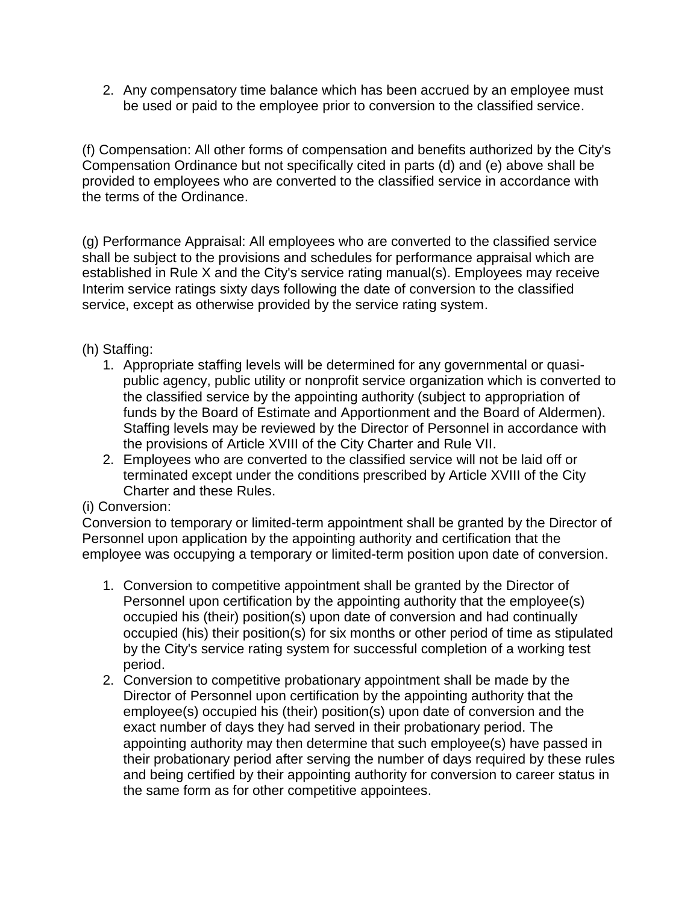2. Any compensatory time balance which has been accrued by an employee must be used or paid to the employee prior to conversion to the classified service.

(f) Compensation: All other forms of compensation and benefits authorized by the City's Compensation Ordinance but not specifically cited in parts (d) and (e) above shall be provided to employees who are converted to the classified service in accordance with the terms of the Ordinance.

(g) Performance Appraisal: All employees who are converted to the classified service shall be subject to the provisions and schedules for performance appraisal which are established in Rule X and the City's service rating manual(s). Employees may receive Interim service ratings sixty days following the date of conversion to the classified service, except as otherwise provided by the service rating system.

## (h) Staffing:

- 1. Appropriate staffing levels will be determined for any governmental or quasipublic agency, public utility or nonprofit service organization which is converted to the classified service by the appointing authority (subject to appropriation of funds by the Board of Estimate and Apportionment and the Board of Aldermen). Staffing levels may be reviewed by the Director of Personnel in accordance with the provisions of Article XVIII of the City Charter and Rule VII.
- 2. Employees who are converted to the classified service will not be laid off or terminated except under the conditions prescribed by Article XVIII of the City Charter and these Rules.

## (i) Conversion:

Conversion to temporary or limited-term appointment shall be granted by the Director of Personnel upon application by the appointing authority and certification that the employee was occupying a temporary or limited-term position upon date of conversion.

- 1. Conversion to competitive appointment shall be granted by the Director of Personnel upon certification by the appointing authority that the employee(s) occupied his (their) position(s) upon date of conversion and had continually occupied (his) their position(s) for six months or other period of time as stipulated by the City's service rating system for successful completion of a working test period.
- 2. Conversion to competitive probationary appointment shall be made by the Director of Personnel upon certification by the appointing authority that the employee(s) occupied his (their) position(s) upon date of conversion and the exact number of days they had served in their probationary period. The appointing authority may then determine that such employee(s) have passed in their probationary period after serving the number of days required by these rules and being certified by their appointing authority for conversion to career status in the same form as for other competitive appointees.